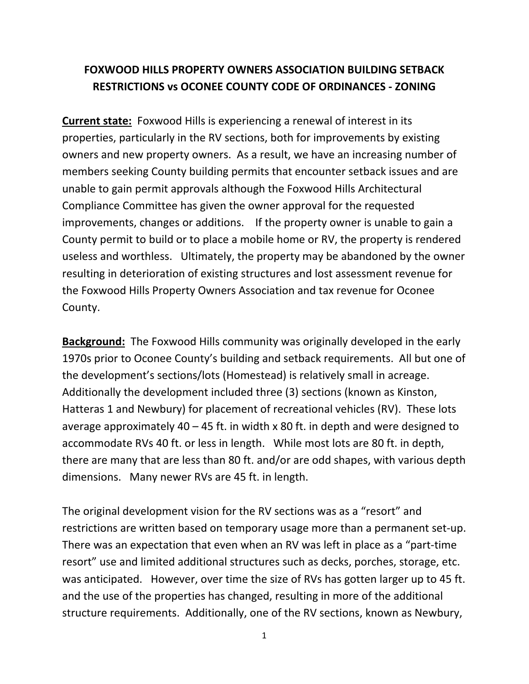## **FOXWOOD HILLS PROPERTY OWNERS ASSOCIATION BUILDING SETBACK RESTRICTIONS vs OCONEE COUNTY CODE OF ORDINANCES ‐ ZONING**

**Current state:** Foxwood Hills is experiencing a renewal of interest in its properties, particularly in the RV sections, both for improvements by existing owners and new property owners. As a result, we have an increasing number of members seeking County building permits that encounter setback issues and are unable to gain permit approvals although the Foxwood Hills Architectural Compliance Committee has given the owner approval for the requested improvements, changes or additions. If the property owner is unable to gain a County permit to build or to place a mobile home or RV, the property is rendered useless and worthless. Ultimately, the property may be abandoned by the owner resulting in deterioration of existing structures and lost assessment revenue for the Foxwood Hills Property Owners Association and tax revenue for Oconee County.

**Background:** The Foxwood Hills community was originally developed in the early 1970s prior to Oconee County's building and setback requirements. All but one of the development's sections/lots (Homestead) is relatively small in acreage. Additionally the development included three (3) sections (known as Kinston, Hatteras 1 and Newbury) for placement of recreational vehicles (RV). These lots average approximately 40 – 45 ft. in width x 80 ft. in depth and were designed to accommodate RVs 40 ft. or less in length. While most lots are 80 ft. in depth, there are many that are less than 80 ft. and/or are odd shapes, with various depth dimensions. Many newer RVs are 45 ft. in length.

The original development vision for the RV sections was as a "resort" and restrictions are written based on temporary usage more than a permanent set‐up. There was an expectation that even when an RV was left in place as a "part‐time resort" use and limited additional structures such as decks, porches, storage, etc. was anticipated. However, over time the size of RVs has gotten larger up to 45 ft. and the use of the properties has changed, resulting in more of the additional structure requirements. Additionally, one of the RV sections, known as Newbury,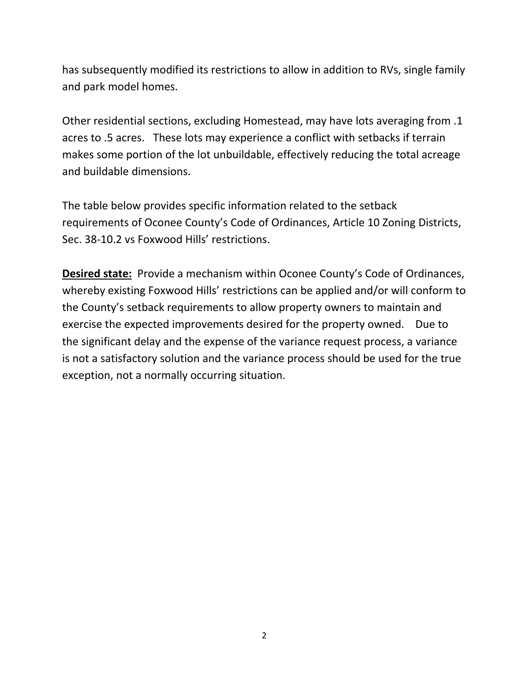has subsequently modified its restrictions to allow in addition to RVs, single family and park model homes.

Other residential sections, excluding Homestead, may have lots averaging from .1 acres to .5 acres. These lots may experience a conflict with setbacks if terrain makes some portion of the lot unbuildable, effectively reducing the total acreage and buildable dimensions.

The table below provides specific information related to the setback requirements of Oconee County's Code of Ordinances, Article 10 Zoning Districts, Sec. 38‐10.2 vs Foxwood Hills' restrictions.

**Desired state:** Provide a mechanism within Oconee County's Code of Ordinances, whereby existing Foxwood Hills' restrictions can be applied and/or will conform to the County's setback requirements to allow property owners to maintain and exercise the expected improvements desired for the property owned. Due to the significant delay and the expense of the variance request process, a variance is not a satisfactory solution and the variance process should be used for the true exception, not a normally occurring situation.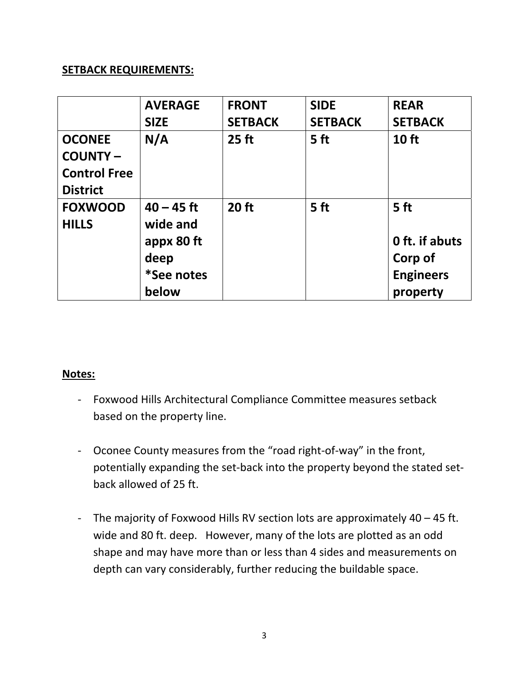## **SETBACK REQUIREMENTS:**

|                     | <b>AVERAGE</b> | <b>FRONT</b>   | <b>SIDE</b>     | <b>REAR</b>      |
|---------------------|----------------|----------------|-----------------|------------------|
|                     | <b>SIZE</b>    | <b>SETBACK</b> | <b>SETBACK</b>  | <b>SETBACK</b>   |
| <b>OCONEE</b>       | N/A            | $25$ ft        | 5 <sub>ft</sub> | 10 ft            |
| <b>COUNTY-</b>      |                |                |                 |                  |
| <b>Control Free</b> |                |                |                 |                  |
| <b>District</b>     |                |                |                 |                  |
| <b>FOXWOOD</b>      | $40 - 45$ ft   | 20 ft          | 5 <sub>ft</sub> | 5 <sub>ft</sub>  |
| <b>HILLS</b>        | wide and       |                |                 |                  |
|                     | appx 80 ft     |                |                 | 0 ft. if abuts   |
|                     | deep           |                |                 | Corp of          |
|                     | *See notes     |                |                 | <b>Engineers</b> |
|                     | below          |                |                 | property         |

### **Notes:**

- ‐ Foxwood Hills Architectural Compliance Committee measures setback based on the property line.
- ‐ Oconee County measures from the "road right‐of‐way" in the front, potentially expanding the set‐back into the property beyond the stated set‐ back allowed of 25 ft.
- ‐ The majority of Foxwood Hills RV section lots are approximately 40 45 ft. wide and 80 ft. deep. However, many of the lots are plotted as an odd shape and may have more than or less than 4 sides and measurements on depth can vary considerably, further reducing the buildable space.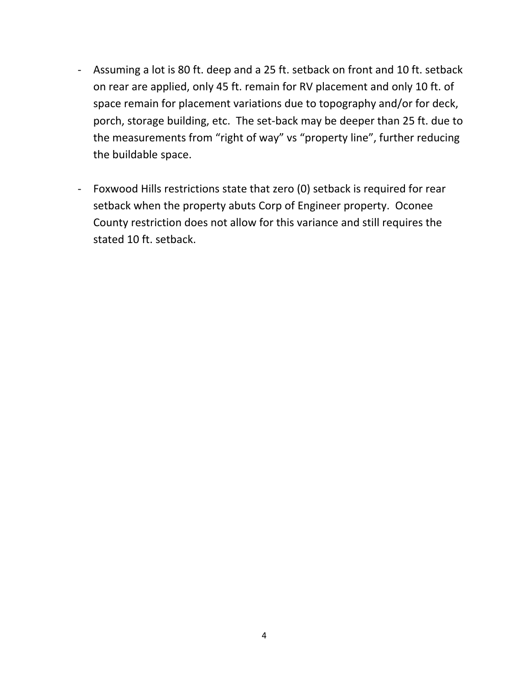- ‐ Assuming a lot is 80 ft. deep and a 25 ft. setback on front and 10 ft. setback on rear are applied, only 45 ft. remain for RV placement and only 10 ft. of space remain for placement variations due to topography and/or for deck, porch, storage building, etc. The set‐back may be deeper than 25 ft. due to the measurements from "right of way" vs "property line", further reducing the buildable space.
- ‐ Foxwood Hills restrictions state that zero (0) setback is required for rear setback when the property abuts Corp of Engineer property. Oconee County restriction does not allow for this variance and still requires the stated 10 ft. setback.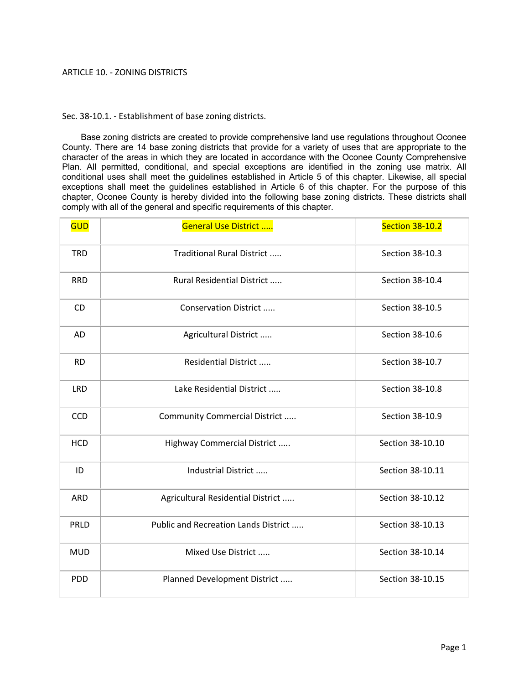#### ARTICLE 10. ‐ ZONING DISTRICTS

Sec. 38-10.1. - Establishment of base zoning districts.

Base zoning districts are created to provide comprehensive land use regulations throughout Oconee County. There are 14 base zoning districts that provide for a variety of uses that are appropriate to the character of the areas in which they are located in accordance with the Oconee County Comprehensive Plan. All permitted, conditional, and special exceptions are identified in the zoning use matrix. All conditional uses shall meet the guidelines established in Article 5 of this chapter. Likewise, all special exceptions shall meet the guidelines established in Article 6 of this chapter. For the purpose of this chapter, Oconee County is hereby divided into the following base zoning districts. These districts shall comply with all of the general and specific requirements of this chapter.

| <b>GUD</b> | <b>General Use District </b>         | <b>Section 38-10.2</b> |
|------------|--------------------------------------|------------------------|
| <b>TRD</b> | Traditional Rural District           | Section 38-10.3        |
| <b>RRD</b> | Rural Residential District           | Section 38-10.4        |
| CD.        | Conservation District                | Section 38-10.5        |
| <b>AD</b>  | Agricultural District                | Section 38-10.6        |
| <b>RD</b>  | Residential District                 | Section 38-10.7        |
| <b>LRD</b> | Lake Residential District            | Section 38-10.8        |
| CCD        | Community Commercial District        | Section 38-10.9        |
| <b>HCD</b> | Highway Commercial District          | Section 38-10.10       |
| ID         | Industrial District                  | Section 38-10.11       |
| <b>ARD</b> | Agricultural Residential District    | Section 38-10.12       |
| PRLD       | Public and Recreation Lands District | Section 38-10.13       |
| <b>MUD</b> | Mixed Use District                   | Section 38-10.14       |
| <b>PDD</b> | Planned Development District         | Section 38-10.15       |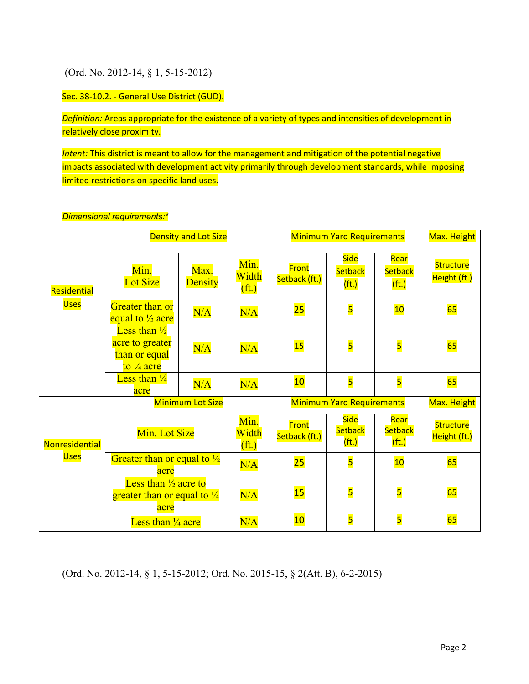### (Ord. No. 2012-14, § 1, 5-15-2012)

Sec. 38-10.2. - General Use District (GUD).

*Definition:* Areas appropriate for the existence of a variety of types and intensities of development in relatively close proximity.

*Intent:* This district is meant to allow for the management and mitigation of the potential negative impacts associated with development activity primarily through development standards, while imposing limited restrictions on specific land uses.

|                |                                                                                      | <b>Density and Lot Size</b> |                                    |                        | <b>Minimum Yard Requirements</b>      |                                             | Max. Height                      |
|----------------|--------------------------------------------------------------------------------------|-----------------------------|------------------------------------|------------------------|---------------------------------------|---------------------------------------------|----------------------------------|
| Residential    | Min.<br><b>Lot Size</b>                                                              | Max.<br><b>Density</b>      | Min.<br>Width<br>(f <sup>t</sup> ) | Front<br>Setback (ft.) | <b>Side</b><br><b>Setback</b><br>(t.) | Rear<br>Setback<br>(t.)                     | <b>Structure</b><br>Height (ft.) |
| <b>Uses</b>    | Greater than or<br>equal to $\frac{1}{2}$ acre                                       | N/A                         | N/A                                | 25                     | $\overline{\mathbf{5}}$               | 10                                          | 65                               |
|                | Less than $\frac{1}{2}$<br>acre to greater<br>than or equal<br>to $\frac{1}{4}$ acre | N/A                         | N/A                                | 15                     | $\overline{\mathbf{5}}$               | $\overline{\mathbf{5}}$                     | 65                               |
|                | Less than $\frac{1}{4}$<br>acre                                                      | N/A                         | N/A                                | 10                     | $\overline{\mathbf{5}}$               | $\overline{\mathbf{5}}$                     | 65                               |
|                |                                                                                      | <b>Minimum Lot Size</b>     |                                    |                        | <b>Minimum Yard Requirements</b>      |                                             | Max. Height                      |
| Nonresidential | Min. Lot Size                                                                        |                             | Min.<br>Width<br>(f <sup>t</sup> ) | Front<br>Setback (ft.) | <b>Side</b><br><b>Setback</b><br>(t.) | Rear<br><b>Setback</b><br>(f <sup>t</sup> ) | <b>Structure</b><br>Height (ft.) |
| <b>Uses</b>    | Greater than or equal to $\frac{1}{2}$<br>acre                                       |                             | N/A                                | 25                     | $\overline{\mathbf{5}}$               | 10                                          | 65                               |
|                | Less than $\frac{1}{2}$ acre to<br>greater than or equal to $\frac{1}{4}$<br>acre    |                             | N/A                                | 15                     | $\overline{\mathbf{5}}$               | 5                                           | 65                               |
|                | Less than $\frac{1}{4}$ acre                                                         |                             | N/A                                | 10                     | 5                                     | 5                                           | 65                               |

#### *Dimensional requirements:\**

(Ord. No. 2012-14, § 1, 5-15-2012; Ord. No. 2015-15, § 2(Att. B), 6-2-2015)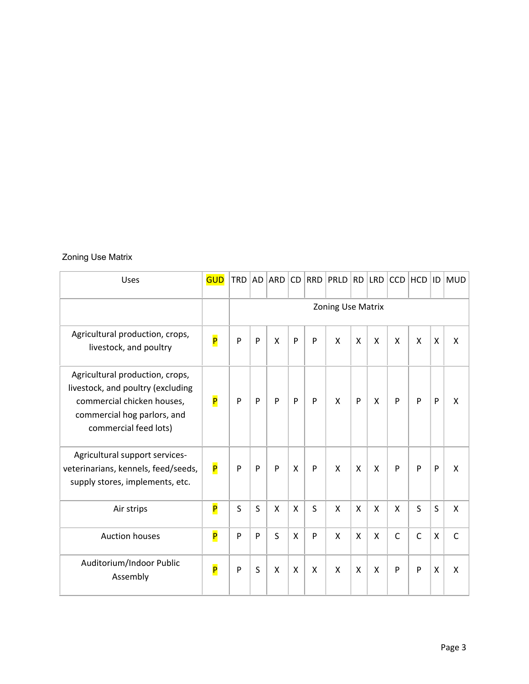### Zoning Use Matrix

| Uses                                                                                                                                                       | <b>GUD</b>              | <b>TRD</b> |                   | AD ARD CD |   |   | RRD PRLD | RD                        |   | LRD   CCD    | HCD          | D                         | <b>MUD</b>   |
|------------------------------------------------------------------------------------------------------------------------------------------------------------|-------------------------|------------|-------------------|-----------|---|---|----------|---------------------------|---|--------------|--------------|---------------------------|--------------|
|                                                                                                                                                            |                         |            | Zoning Use Matrix |           |   |   |          |                           |   |              |              |                           |              |
| Agricultural production, crops,<br>livestock, and poultry                                                                                                  | P                       | P          | $\mathsf{P}$      | X         | P | P | X        | X                         | X | X            | X            | $\boldsymbol{\mathsf{X}}$ | X            |
| Agricultural production, crops,<br>livestock, and poultry (excluding<br>commercial chicken houses,<br>commercial hog parlors, and<br>commercial feed lots) | $\overline{\mathsf{P}}$ | P          | $\mathsf{P}$      | P         | P | P | X        | P                         | X | P            | P            | P                         | X            |
| Agricultural support services-<br>veterinarians, kennels, feed/seeds,<br>supply stores, implements, etc.                                                   | P                       | P          | P                 | P         | X | P | X        | $\boldsymbol{\mathsf{X}}$ | X | P            | P            | P                         | X            |
| Air strips                                                                                                                                                 | P                       | S          | S                 | X         | X | S | X        | $\boldsymbol{\mathsf{X}}$ | X | X            | S            | S                         | X            |
| <b>Auction houses</b>                                                                                                                                      | P                       | P          | P                 | S         | X | P | X        | X                         | X | $\mathsf{C}$ | $\mathsf{C}$ | $\boldsymbol{\mathsf{X}}$ | $\mathsf{C}$ |
| Auditorium/Indoor Public<br>Assembly                                                                                                                       | P                       | P          | S                 | X         | X | X | X        | $\boldsymbol{\mathsf{X}}$ | X | P            | P            | X                         | X            |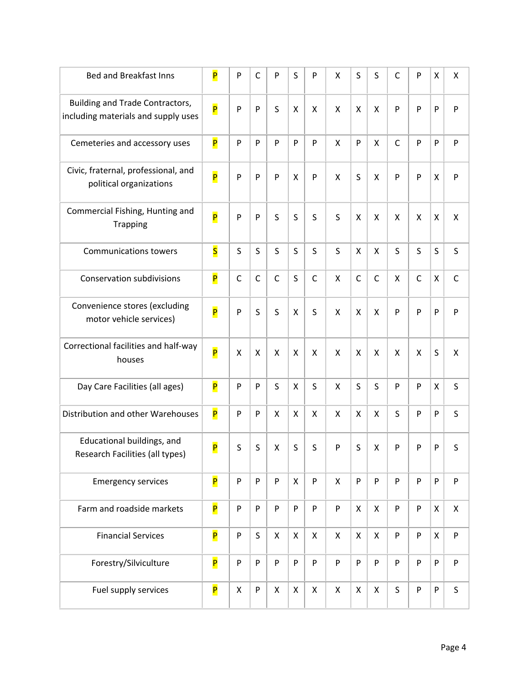| <b>Bed and Breakfast Inns</b>                                          | P                       | P            | $\mathsf{C}$ | P            | S | P            | Χ            | S                  | S            | $\mathsf{C}$ | P            | X                  | Χ            |
|------------------------------------------------------------------------|-------------------------|--------------|--------------|--------------|---|--------------|--------------|--------------------|--------------|--------------|--------------|--------------------|--------------|
| Building and Trade Contractors,<br>including materials and supply uses | P                       | P            | P            | S            | X | X            | X            | X                  | X            | P            | P            | P                  | P            |
| Cemeteries and accessory uses                                          | P                       | P            | P            | P            | P | P            | $\mathsf{x}$ | P                  | X            | $\mathsf{C}$ | P            | P                  | P            |
| Civic, fraternal, professional, and<br>political organizations         | P                       | P            | P            | P            | X | P            | X            | S                  | X            | P            | P            | $\pmb{\mathsf{X}}$ | P            |
| Commercial Fishing, Hunting and<br><b>Trapping</b>                     | P                       | P            | P            | S            | S | $\sf S$      | S            | X                  | X            | X            | X            | X                  | X            |
| <b>Communications towers</b>                                           | $\overline{\mathsf{s}}$ | $\sf S$      | S            | S            | S | $\sf S$      | S            | $\pmb{\mathsf{X}}$ | X            | S            | S            | $\sf S$            | $\sf S$      |
| <b>Conservation subdivisions</b>                                       | P                       | $\mathsf{C}$ | $\mathsf{C}$ | $\mathsf{C}$ | S | $\mathsf{C}$ | X            | $\mathsf{C}$       | $\mathsf{C}$ | X            | $\mathsf{C}$ | X                  | $\mathsf{C}$ |
| Convenience stores (excluding<br>motor vehicle services)               | P                       | P            | S            | S            | X | S            | X            | X                  | X            | P            | P            | $\mathsf{P}$       | $\mathsf{P}$ |
| Correctional facilities and half-way<br>houses                         | P                       | X            | X            | X            | X | X            | X            | X                  | X            | X            | X            | S                  | X            |
| Day Care Facilities (all ages)                                         | P                       | P            | P            | S            | X | S            | X            | S                  | S            | P            | P            | X                  | S            |
| Distribution and other Warehouses                                      | P                       | P            | P            | X            | X | X            | X            | X                  | X            | S            | P            | P                  | S            |
| Educational buildings, and<br>Research Facilities (all types)          | $\overline{\mathsf{P}}$ | S            | $\sf S$      | Χ            | S | $\sf S$      | P            | S                  | X            | P            | P            | $\mathsf{P}$       | S            |
| <b>Emergency services</b>                                              | P                       | P            | P            | P            | X | P            | X            | P                  | P            | P            | P            | P                  | P            |
| Farm and roadside markets                                              | P                       | P            | P            | P            | P | P            | P            | X                  | X            | P            | P            | X                  | X            |
| <b>Financial Services</b>                                              | P                       | P            | S            | X            | X | X            | X            | $\mathsf{X}$       | $\mathsf{X}$ | P            | P            | $\mathsf{x}$       | ${\sf P}$    |
| Forestry/Silviculture                                                  | P                       | P            | P            | P            | P | P            | P            | P                  | P            | P            | P            | P                  | P            |
| Fuel supply services                                                   | P                       | X            | P            | X            | X | X            | X            | X                  | X            | S            | P            | P                  | S            |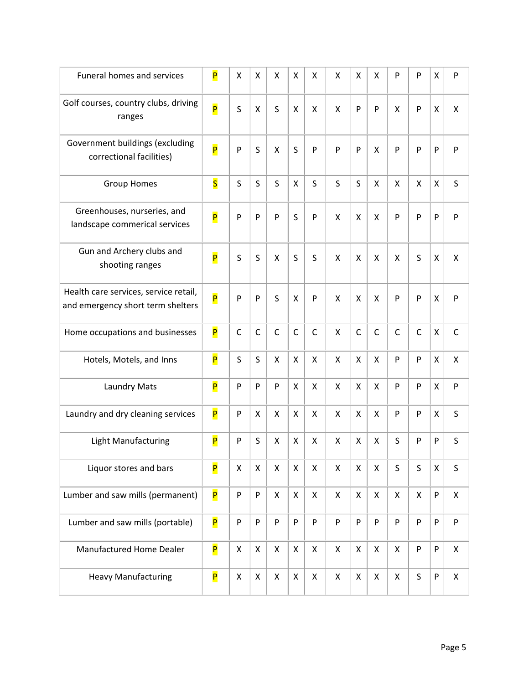| <b>Funeral homes and services</b>                                          | P                       | X            | X            | X            | X            | X            | X | Χ            | X            | P            | P | Χ                  | P                  |
|----------------------------------------------------------------------------|-------------------------|--------------|--------------|--------------|--------------|--------------|---|--------------|--------------|--------------|---|--------------------|--------------------|
| Golf courses, country clubs, driving<br>ranges                             | P                       | S            | X            | S            | X            | Χ            | X | P            | P            | Χ            | P | X                  | X                  |
| Government buildings (excluding<br>correctional facilities)                | P                       | P            | S            | $\mathsf{x}$ | S            | P            | P | P            | X            | P            | P | P                  | P                  |
| <b>Group Homes</b>                                                         | $\overline{\mathsf{s}}$ | S            | S            | S            | $\mathsf{x}$ | S            | S | S            | X            | X            | Χ | $\pmb{\mathsf{X}}$ | S                  |
| Greenhouses, nurseries, and<br>landscape commerical services               | P                       | P            | P            | P            | S            | P            | X | X            | X            | P            | P | P                  | P                  |
| Gun and Archery clubs and<br>shooting ranges                               | P                       | S            | S            | X            | S            | S            | X | Χ            | X            | Χ            | S | X                  | X                  |
| Health care services, service retail,<br>and emergency short term shelters | P                       | P            | P            | S            | X            | P            | X | Χ            | X            | P            | P | X                  | P                  |
| Home occupations and businesses                                            | $\overline{\mathsf{P}}$ | $\mathsf{C}$ | $\mathsf{C}$ | $\mathsf{C}$ | $\mathsf{C}$ | $\mathsf{C}$ | Χ | $\mathsf{C}$ | $\mathsf{C}$ | $\mathsf{C}$ | C | X                  | $\mathsf C$        |
| Hotels, Motels, and Inns                                                   | P                       | S            | S            | $\mathsf{x}$ | $\mathsf{x}$ | X            | X | X            | X            | P            | P | X                  | Χ                  |
| Laundry Mats                                                               | P                       | P            | P            | P            | X            | X            | X | X            | X            | P            | P | $\pmb{\mathsf{X}}$ | P                  |
| Laundry and dry cleaning services                                          | P                       | P            | Χ            | X            | X            | X            | X | X            | X            | P            | P | X                  | $\sf S$            |
| <b>Light Manufacturing</b>                                                 | P                       | P            | S            | X            | X            | X            | X | X            | X            | S            | P | P                  | S                  |
| Liquor stores and bars                                                     | P                       | X            | X            | X            | X            | X            | X | X            | X            | S            | S | $\pmb{\mathsf{X}}$ | $\sf S$            |
| Lumber and saw mills (permanent)                                           | P                       | P            | P            | X            | X            | Χ            | X | Χ            | X            | X            | X | P                  | $\pmb{\mathsf{X}}$ |
| Lumber and saw mills (portable)                                            | P                       | P            | P            | P            | P            | P            | P | P            | P            | P            | P | P                  | P                  |
| Manufactured Home Dealer                                                   | P                       | X            | X            | X            | X            | X            | Χ | X            | X            | X            | P | P                  | X                  |
| <b>Heavy Manufacturing</b>                                                 | P                       | X            | X            | X            | X            | X            | X | X            | X            | X            | S | ${\sf P}$          | X                  |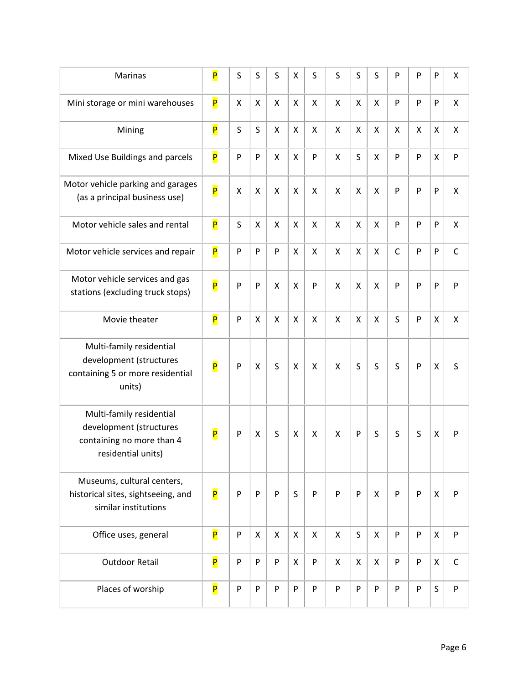| Marinas                                                                                                | P                       | S         | S            | S                  | X | S         | S | S                         | S | P            | P | P                  | Χ                  |
|--------------------------------------------------------------------------------------------------------|-------------------------|-----------|--------------|--------------------|---|-----------|---|---------------------------|---|--------------|---|--------------------|--------------------|
| Mini storage or mini warehouses                                                                        | P                       | X         | Χ            | $\pmb{\mathsf{X}}$ | X | X         | X | X                         | X | P            | P | P                  | Χ                  |
| Mining                                                                                                 | P                       | S         | $\sf S$      | X                  | X | X         | X | X                         | X | X            | Χ | X                  | X                  |
| Mixed Use Buildings and parcels                                                                        | P                       | ${\sf P}$ | P            | X                  | X | ${\sf P}$ | X | S                         | X | P            | P | $\pmb{\mathsf{X}}$ | P                  |
| Motor vehicle parking and garages<br>(as a principal business use)                                     | P                       | X         | $\mathsf{X}$ | X                  | X | X         | X | $\boldsymbol{\mathsf{X}}$ | X | P            | P | $\mathsf{P}$       | $\pmb{\mathsf{X}}$ |
| Motor vehicle sales and rental                                                                         | P                       | S         | X            | X                  | X | X         | X | X                         | X | P            | P | $\mathsf{P}$       | X                  |
| Motor vehicle services and repair                                                                      | $\overline{\mathsf{P}}$ | P         | P            | P                  | X | X         | X | X                         | X | $\mathsf{C}$ | P | P                  | $\mathsf C$        |
| Motor vehicle services and gas<br>stations (excluding truck stops)                                     | P                       | P         | P            | X                  | X | P         | X | X                         | X | P            | P | P                  | P                  |
| Movie theater                                                                                          | P                       | P         | Χ            | $\pmb{\mathsf{X}}$ | X | X         | X | X                         | X | S            | P | $\pmb{\mathsf{X}}$ | $\pmb{\mathsf{X}}$ |
| Multi-family residential<br>development (structures<br>containing 5 or more residential<br>units)      | P                       | P         | X            | S                  | X | X         | X | S                         | S | S            | P | $\pmb{\mathsf{X}}$ | $\sf S$            |
| Multi-family residential<br>development (structures<br>containing no more than 4<br>residential units) | $\overline{\mathsf{P}}$ | P         | X            | S                  | X | X         | X | P                         | S | S            | S | X                  | P                  |
| Museums, cultural centers,<br>historical sites, sightseeing, and<br>similar institutions               | P                       | P         | P            | P                  | S | P         | P | P                         | X | P            | P | X                  | P                  |
| Office uses, general                                                                                   | P                       | P         | X            | X                  | X | X         | X | S                         | X | P            | P | X                  | P                  |
| <b>Outdoor Retail</b>                                                                                  | P                       | P         | P            | P                  | X | ${\sf P}$ | X | $\pmb{\times}$            | X | P            | P | $\pmb{\times}$     | $\mathsf C$        |
| Places of worship                                                                                      | P                       | ${\sf P}$ | P            | P                  | P | ${\sf P}$ | P | P                         | P | P            | P | $\sf S$            | P                  |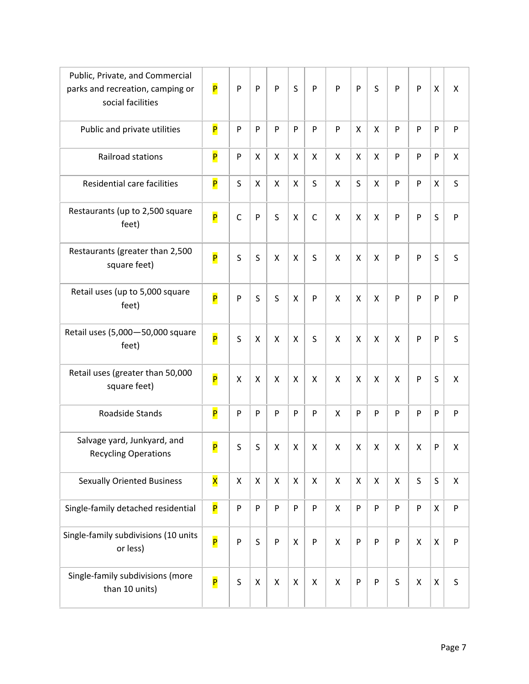| Public, Private, and Commercial<br>parks and recreation, camping or<br>social facilities | P                       | P                  | P                  | P                  | S | P                  | P              | P                  | S            | P            | $\mathsf{P}$       | $\pmb{\mathsf{X}}$ | X                  |
|------------------------------------------------------------------------------------------|-------------------------|--------------------|--------------------|--------------------|---|--------------------|----------------|--------------------|--------------|--------------|--------------------|--------------------|--------------------|
| Public and private utilities                                                             | P                       | P                  | P                  | P                  | P | P                  | P              | X                  | X            | P            | ${\sf P}$          | ${\sf P}$          | ${\sf P}$          |
| Railroad stations                                                                        | P                       | ${\sf P}$          | X                  | X                  | X | Χ                  | X              | X                  | X            | P            | P                  | P                  | X                  |
| Residential care facilities                                                              | P                       | $\sf S$            | $\pmb{\mathsf{X}}$ | X                  | X | S                  | X              | $\mathsf S$        | X            | P            | $\mathsf{P}$       | $\pmb{\mathsf{X}}$ | $\sf S$            |
| Restaurants (up to 2,500 square<br>feet)                                                 | P                       | $\mathsf C$        | P                  | S                  | X | $\mathsf C$        | X              | X                  | X            | P            | P                  | $\sf S$            | P                  |
| Restaurants (greater than 2,500<br>square feet)                                          | P                       | S                  | S                  | Χ                  | X | S                  | X              | $\pmb{\mathsf{X}}$ | X            | P            | P                  | S                  | S                  |
| Retail uses (up to 5,000 square<br>feet)                                                 | P                       | ${\sf P}$          | S                  | S                  | X | P                  | X              | X                  | X            | P            | P                  | P                  | P                  |
| Retail uses (5,000-50,000 square<br>feet)                                                | P                       | $\sf S$            | X                  | X                  | X | S                  | X              | X                  | X            | X            | $\mathsf{P}$       | ${\sf P}$          | $\sf S$            |
| Retail uses (greater than 50,000<br>square feet)                                         | P                       | X                  | X                  | X                  | X | X                  | X              | X                  | X            | X            | $\mathsf{P}$       | S                  | X                  |
| Roadside Stands                                                                          | P                       | P                  | P                  | P                  | P | P                  | X              | ${\sf P}$          | P            | P            | $\mathsf{P}$       | ${\sf P}$          | $\mathsf{P}$       |
| Salvage yard, Junkyard, and<br><b>Recycling Operations</b>                               | P                       | S                  | S                  | X                  | X | Χ                  | X              | Χ                  | X            | X            | X                  | ${\sf P}$          | Χ                  |
| <b>Sexually Oriented Business</b>                                                        | $\overline{\mathsf{x}}$ | $\pmb{\mathsf{X}}$ | $\pmb{\times}$     | $\pmb{\mathsf{X}}$ | X | Χ                  | $\pmb{\times}$ | X                  | $\mathsf{X}$ | $\mathsf{X}$ | $\mathsf S$        | $\sf S$            | $\pmb{\mathsf{X}}$ |
| Single-family detached residential                                                       | P                       | ${\sf P}$          | P                  | P                  | P | P                  | X              | ${\sf P}$          | P            | P            | $\mathsf{P}$       | $\pmb{\mathsf{X}}$ | ${\sf P}$          |
| Single-family subdivisions (10 units<br>or less)                                         | P                       | P                  | S                  | ${\sf P}$          | X | P                  | X              | ${\sf P}$          | P            | P            | $\mathsf{X}% _{0}$ | $\pmb{\chi}$       | $\mathsf{P}$       |
| Single-family subdivisions (more<br>than 10 units)                                       | P                       | $\sf S$            | $\pmb{\mathsf{X}}$ | $\pmb{\mathsf{X}}$ | X | $\pmb{\mathsf{X}}$ | $\pmb{\times}$ | ${\sf P}$          | ${\sf P}$    | S            | X                  | $\mathsf X$        | S                  |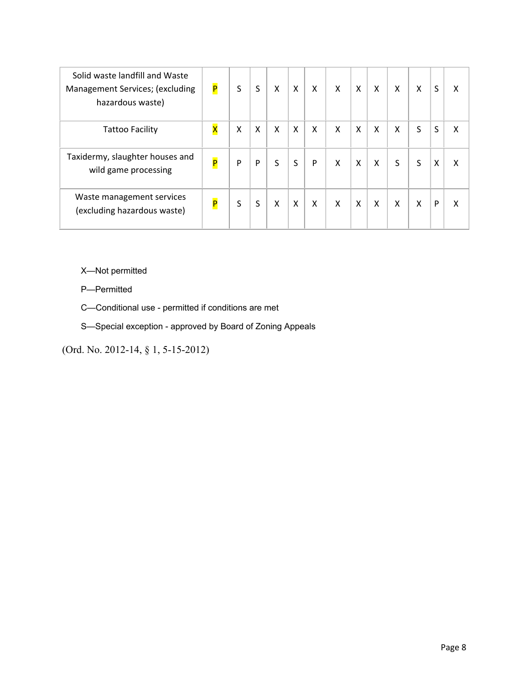| Solid waste landfill and Waste<br>Management Services; (excluding<br>hazardous waste) | P | S | S | X | X | Χ | X | X | X | Χ | Χ | S | X |
|---------------------------------------------------------------------------------------|---|---|---|---|---|---|---|---|---|---|---|---|---|
| <b>Tattoo Facility</b>                                                                | X | X | X | X | X | X | X | X | X | X | S | S | X |
| Taxidermy, slaughter houses and<br>wild game processing                               | P | P | P | S | S | P | X | X | X | S | S | X | X |
| Waste management services<br>(excluding hazardous waste)                              | P | S | S | X | X | X | X | X | Χ | X | X | P | χ |

X—Not permitted

P—Permitted

C—Conditional use - permitted if conditions are met

S—Special exception - approved by Board of Zoning Appeals

(Ord. No. 2012-14, § 1, 5-15-2012)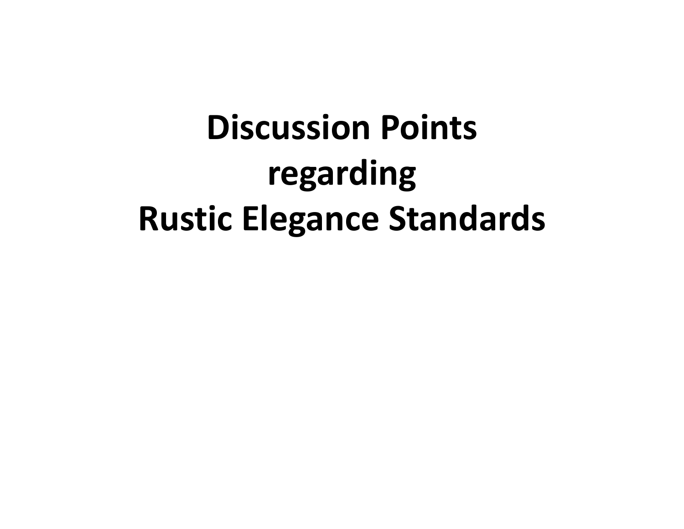# **Discussion Points regarding Rustic Elegance Standards**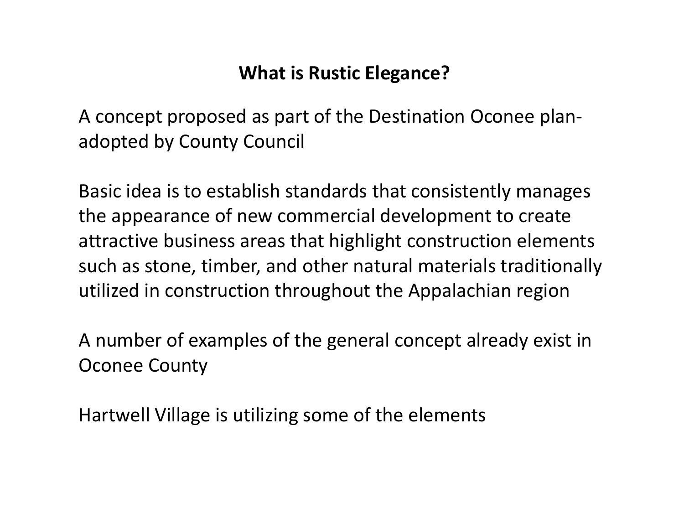## **What is Rustic Elegance?**

A concept proposed as part of the Destination Oconee plan‐ adopted by County Council

Basic idea is to establish standards that consistently manages the appearance of new commercial development to create attractive business areas that highlight construction elements such as stone, timber, and other natural materials traditionally utilized in construction throughout the Appalachian region

A number of examples of the general concept already exist in Oconee County

Hartwell Village is utilizing some of the elements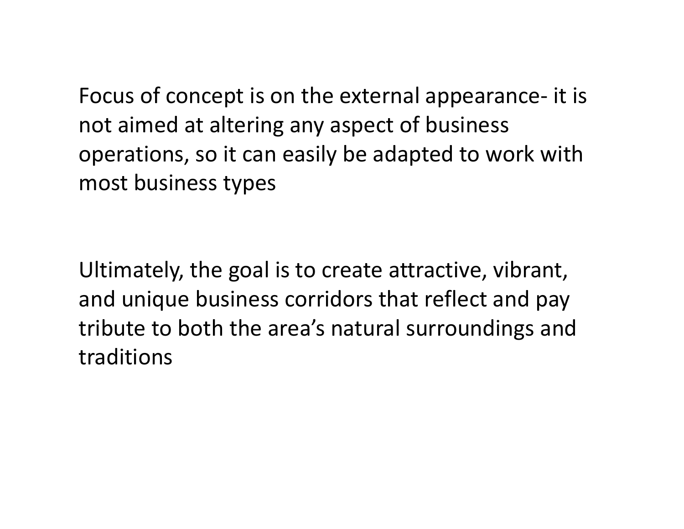Focus of concept is on the external appearance‐ it is not aimed at altering any aspect of business operations, so it can easily be adapted to work with most business types

Ultimately, the goal is to create attractive, vibrant, and unique business corridors that reflect and pay tribute to both the area's natural surroundings and traditions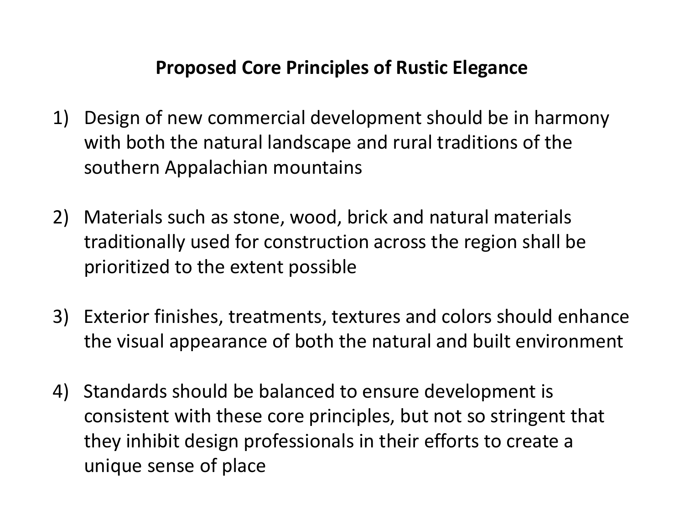## **Proposed Core Principles of Rustic Elegance**

- 1) Design of new commercial development should be in harmony with both the natural landscape and rural traditions of the southern Appalachian mountains
- 2) Materials such as stone, wood, brick and natural materials traditionally used for construction across the region shall be prioritized to the extent possible
- 3) Exterior finishes, treatments, textures and colors should enhance the visual appearance of both the natural and built environment
- 4) Standards should be balanced to ensure development is consistent with these core principles, but not so stringent that they inhibit design professionals in their efforts to create <sup>a</sup> unique sense of place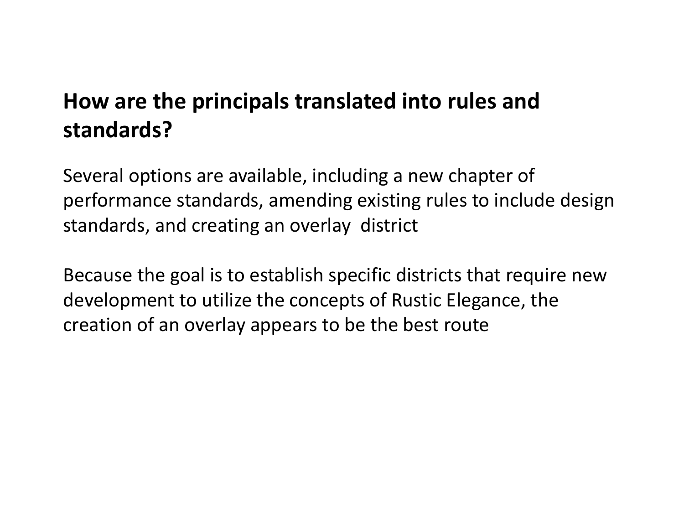## **How are the principals translated into rules and standards?**

Several options are available, including <sup>a</sup> new chapter of performance standards, amending existing rules to include design standards, and creating an overlay district

Because the goal is to establish specific districts that require new development to utilize the concepts of Rustic Elegance, the creation of an overlay appears to be the best route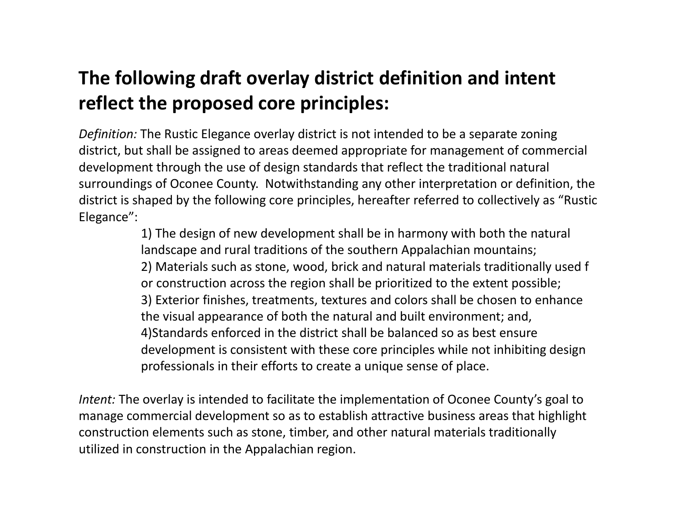## **The following draft overlay district definition and intent reflect the proposed core principles:**

*Definition:* The Rustic Elegance overlay district is not intended to be <sup>a</sup> separate zoning district, but shall be assigned to areas deemed appropriate for management of commercial development through the use of design standards that reflect the traditional natural surroundings of Oconee County. Notwithstanding any other interpretation or definition, the district is shaped by the following core principles, hereafter referred to collectively as "Rustic Elegance":

> 1) The design of new development shall be in harmony with both the natural landscape and rural traditions of the southern Appalachian mountains; 2) Materials such as stone, wood, brick and natural materials traditionally used f or construction across the region shall be prioritized to the extent possible; 3) Exterior finishes, treatments, textures and colors shall be chosen to enhance the visual appearance of both the natural and built environment; and, 4)Standards enforced in the district shall be balanced so as best ensure development is consistent with these core principles while not inhibiting design professionals in their efforts to create <sup>a</sup> unique sense of place.

*Intent:* The overlay is intended to facilitate the implementation of Oconee County's goal to manage commercial development so as to establish attractive business areas that highlight construction elements such as stone, timber, and other natural materials traditionally utilized in construction in the Appalachian region.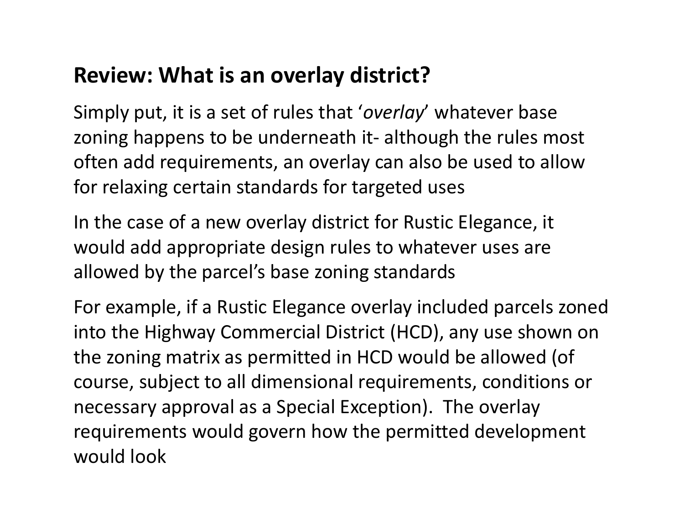## **Review: What is an overlay district?**

Simply put, it is <sup>a</sup> set of rules that '*overlay*' whatever base zoning happens to be underneath it‐ although the rules most often add requirements, an overlay can also be used to allow for relaxing certain standards for targeted uses

In the case of <sup>a</sup> new overlay district for Rustic Elegance, it would add appropriate design rules to whatever uses are allowed by the parcel's base zoning standards

For example, if <sup>a</sup> Rustic Elegance overlay included parcels zoned into the Highway Commercial District (HCD), any use shown on the zoning matrix as permitted in HCD would be allowed (of course, subject to all dimensional requirements, conditions or necessary approval as <sup>a</sup> Special Exception). The overlay requirements would govern how the permitted development would look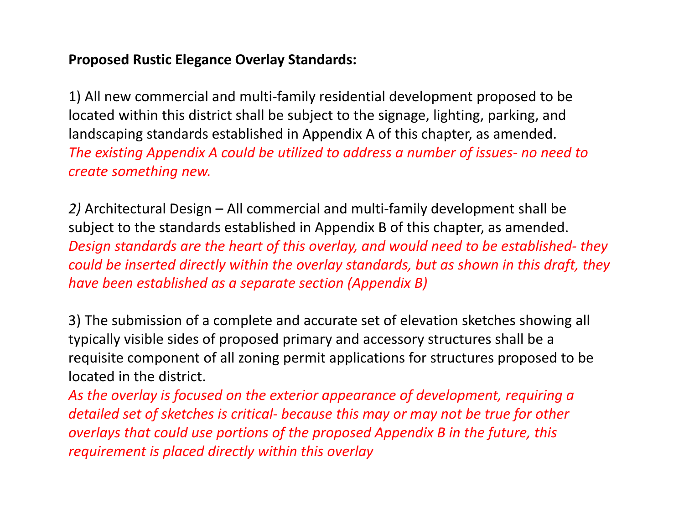## **Proposed Rustic Elegance Overlay Standards:**

1) All new commercial and multi‐family residential development proposed to be located within this district shall be subject to the signage, lighting, parking, and landscaping standards established in Appendix A of this chapter, as amended. *The existing Appendix A could be utilized to address <sup>a</sup> number of issues‐ no need to create something new.*

*2)* Architectural Design – All commercial and multi‐family development shall be subject to the standards established in Appendix B of this chapter, as amended. *Design standards are the heart of this overlay, and would need to be established‐ they could be inserted directly within the overlay standards, but as shown in this draft, they have been established as <sup>a</sup> separate section (Appendix B)*

3) The submission of <sup>a</sup> complete and accurate set of elevation sketches showing all typically visible sides of proposed primary and accessory structures shall be <sup>a</sup> requisite component of all zoning permit applications for structures proposed to be located in the district.

*As the overlay is focused on the exterior appearance of development, requiring <sup>a</sup> detailed set of sketches is critical‐ because this may or may not be true for other overlays that could use portions of the proposed Appendix B in the future, this requirement is placed directly within this overlay*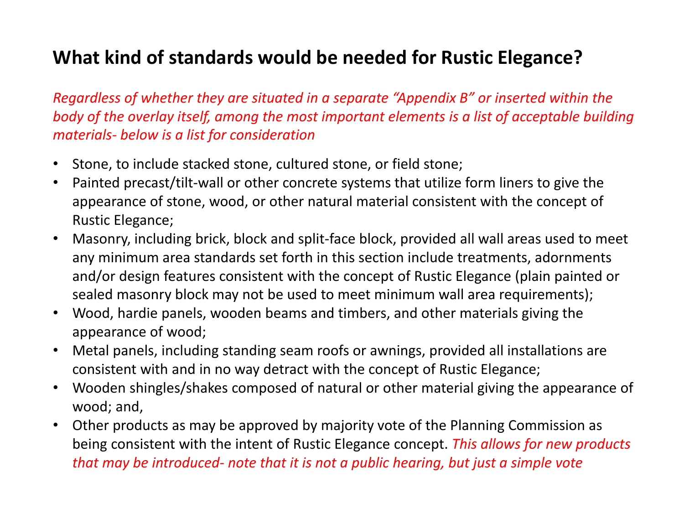## **What kind of standards would be needed for Rustic Elegance?**

*Regardless of whether they are situated in <sup>a</sup> separate "Appendix B" or inserted within the body of the overlay itself, among the most important elements is <sup>a</sup> list of acceptable building materials‐ below is <sup>a</sup> list for consideration*

- $\bullet$ Stone, to include stacked stone, cultured stone, or field stone;
- $\bullet$ • Painted precast/tilt-wall or other concrete systems that utilize form liners to give the appearance of stone, wood, or other natural material consistent with the concept of Rustic Elegance;
- $\bullet$  Masonry, including brick, block and split‐face block, provided all wall areas used to meet any minimum area standards set forth in this section include treatments, adornments and/or design features consistent with the concept of Rustic Elegance (plain painted or sealed masonry block may not be used to meet minimum wall area requirements);
- • Wood, hardie panels, wooden beams and timbers, and other materials giving the appearance of wood;
- $\bullet$  Metal panels, including standing seam roofs or awnings, provided all installations are consistent with and in no way detract with the concept of Rustic Elegance;
- $\bullet$  Wooden shingles/shakes composed of natural or other material giving the appearance of wood; and,
- • Other products as may be approved by majority vote of the Planning Commission as being consistent with the intent of Rustic Elegance concept. *This allows for new products that may be introduced‐ note that it is not <sup>a</sup> public hearing, but just <sup>a</sup> simple vote*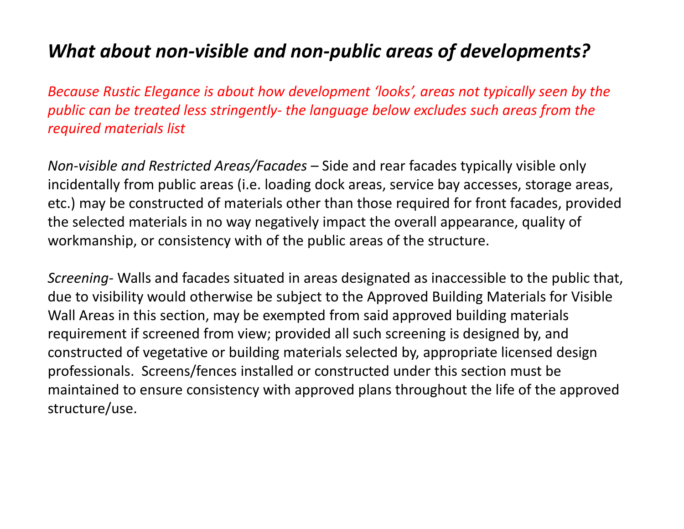## *What about non‐visible and non‐public areas of developments?*

*Because Rustic Elegance is about how development 'looks', areas not typically seen by the public can be treated less stringently‐ the language below excludes such areas from the required materials list*

*Non‐visible and Restricted Areas/Facades –* Side and rear facades typically visible only incidentally from public areas (i.e. loading dock areas, service bay accesses, storage areas, etc.) may be constructed of materials other than those required for front facades, provided the selected materials in no way negatively impact the overall appearance, quality of workmanship, or consistency with of the public areas of the structure.

*Screening‐* Walls and facades situated in areas designated as inaccessible to the public that, due to visibility would otherwise be subject to the Approved Building Materials for Visible Wall Areas in this section, may be exempted from said approved building materials requirement if screened from view; provided all such screening is designed by, and constructed of vegetative or building materials selected by, appropriate licensed design professionals. Screens/fences installed or constructed under this section must be maintained to ensure consistency with approved plans throughout the life of the approved structure/use.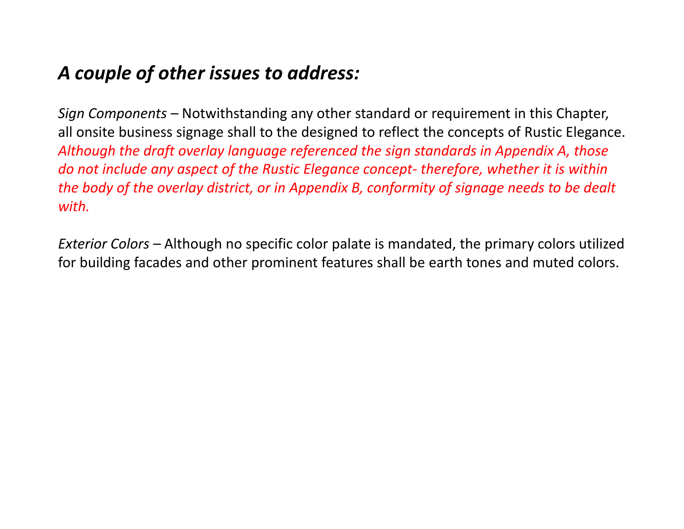## *A couple of other issues to address:*

*Sign Components –* Notwithstanding any other standard or requirement in this Chapter, all onsite business signage shall to the designed to reflect the concepts of Rustic Elegance. *Although the draft overlay language referenced the sign standards in Appendix A, those do not include any aspect of the Rustic Elegance concept‐ therefore, whether it is within the body of the overlay district, or in Appendix B, conformity of signage needs to be dealt with.*

*Exterior Colors –* Although no specific color palate is mandated, the primary colors utilized for building facades and other prominent features shall be earth tones and muted colors.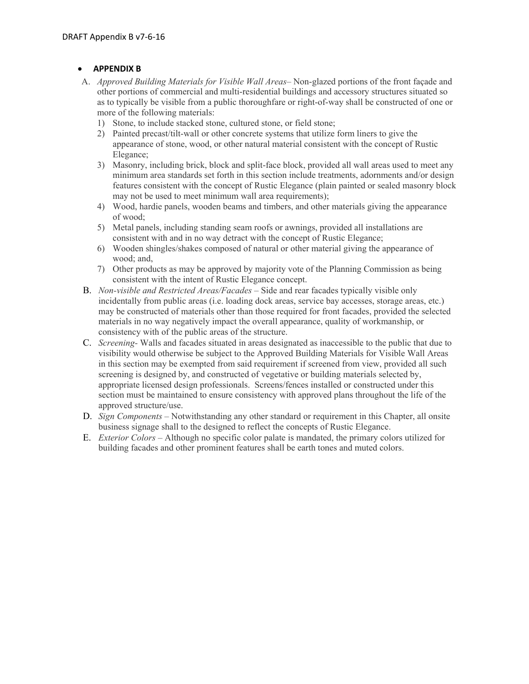### **APPENDIX B**

- A. *Approved Building Materials for Visible Wall Areas–* Non-glazed portions of the front façade and other portions of commercial and multi-residential buildings and accessory structures situated so as to typically be visible from a public thoroughfare or right-of-way shall be constructed of one or more of the following materials:
	- 1) Stone, to include stacked stone, cultured stone, or field stone;
	- 2) Painted precast/tilt-wall or other concrete systems that utilize form liners to give the appearance of stone, wood, or other natural material consistent with the concept of Rustic Elegance;
	- 3) Masonry, including brick, block and split-face block, provided all wall areas used to meet any minimum area standards set forth in this section include treatments, adornments and/or design features consistent with the concept of Rustic Elegance (plain painted or sealed masonry block may not be used to meet minimum wall area requirements);
	- 4) Wood, hardie panels, wooden beams and timbers, and other materials giving the appearance of wood;
	- 5) Metal panels, including standing seam roofs or awnings, provided all installations are consistent with and in no way detract with the concept of Rustic Elegance;
	- 6) Wooden shingles/shakes composed of natural or other material giving the appearance of wood; and,
	- 7) Other products as may be approved by majority vote of the Planning Commission as being consistent with the intent of Rustic Elegance concept.
- B. *Non-visible and Restricted Areas/Facades –* Side and rear facades typically visible only incidentally from public areas (i.e. loading dock areas, service bay accesses, storage areas, etc.) may be constructed of materials other than those required for front facades, provided the selected materials in no way negatively impact the overall appearance, quality of workmanship, or consistency with of the public areas of the structure.
- C. *Screening-* Walls and facades situated in areas designated as inaccessible to the public that due to visibility would otherwise be subject to the Approved Building Materials for Visible Wall Areas in this section may be exempted from said requirement if screened from view, provided all such screening is designed by, and constructed of vegetative or building materials selected by, appropriate licensed design professionals. Screens/fences installed or constructed under this section must be maintained to ensure consistency with approved plans throughout the life of the approved structure/use.
- D. *Sign Components* Notwithstanding any other standard or requirement in this Chapter, all onsite business signage shall to the designed to reflect the concepts of Rustic Elegance.
- E. *Exterior Colors –* Although no specific color palate is mandated, the primary colors utilized for building facades and other prominent features shall be earth tones and muted colors.